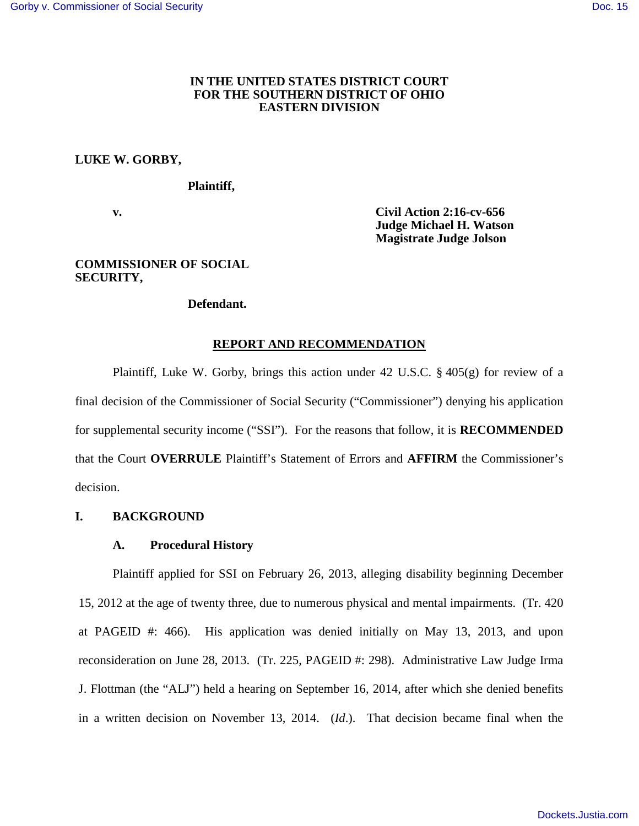## **IN THE UNITED STATES DISTRICT COURT FOR THE SOUTHERN DISTRICT OF OHIO EASTERN DIVISION**

## **LUKE W. GORBY,**

### **Plaintiff,**

 **v. Civil Action 2:16-cv-656 Judge Michael H. Watson Magistrate Judge Jolson** 

## **COMMISSIONER OF SOCIAL SECURITY,**

## **Defendant.**

### **REPORT AND RECOMMENDATION**

Plaintiff, Luke W. Gorby, brings this action under 42 U.S.C. § 405(g) for review of a final decision of the Commissioner of Social Security ("Commissioner") denying his application for supplemental security income ("SSI"). For the reasons that follow, it is **RECOMMENDED** that the Court **OVERRULE** Plaintiff's Statement of Errors and **AFFIRM** the Commissioner's decision.

# **I. BACKGROUND**

### **A. Procedural History**

Plaintiff applied for SSI on February 26, 2013, alleging disability beginning December 15, 2012 at the age of twenty three, due to numerous physical and mental impairments. (Tr. 420 at PAGEID #: 466). His application was denied initially on May 13, 2013, and upon reconsideration on June 28, 2013. (Tr. 225, PAGEID #: 298). Administrative Law Judge Irma J. Flottman (the "ALJ") held a hearing on September 16, 2014, after which she denied benefits in a written decision on November 13, 2014. (*Id*.). That decision became final when the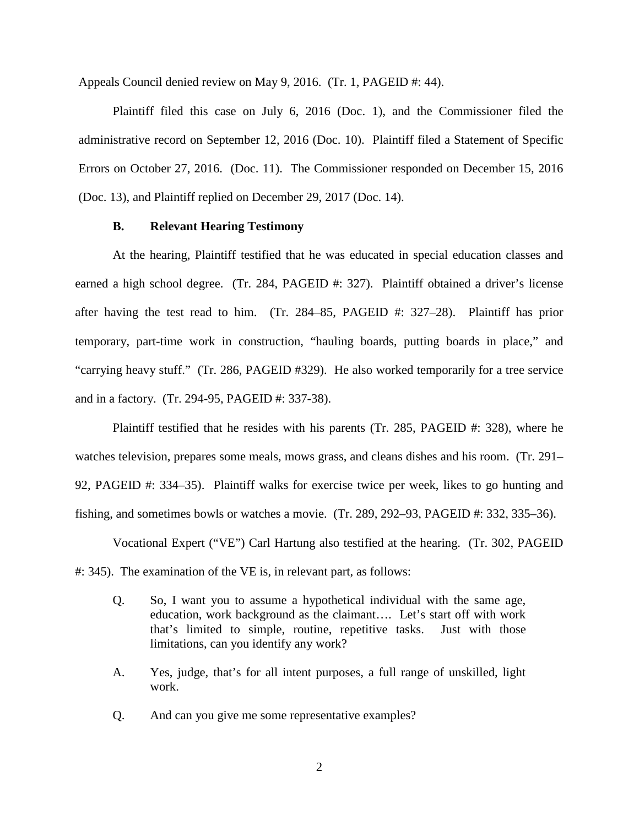Appeals Council denied review on May 9, 2016. (Tr. 1, PAGEID #: 44).

Plaintiff filed this case on July 6, 2016 (Doc. 1), and the Commissioner filed the administrative record on September 12, 2016 (Doc. 10). Plaintiff filed a Statement of Specific Errors on October 27, 2016. (Doc. 11). The Commissioner responded on December 15, 2016 (Doc. 13), and Plaintiff replied on December 29, 2017 (Doc. 14).

## **B. Relevant Hearing Testimony**

At the hearing, Plaintiff testified that he was educated in special education classes and earned a high school degree. (Tr. 284, PAGEID #: 327). Plaintiff obtained a driver's license after having the test read to him. (Tr. 284–85, PAGEID #: 327–28). Plaintiff has prior temporary, part-time work in construction, "hauling boards, putting boards in place," and "carrying heavy stuff." (Tr. 286, PAGEID #329). He also worked temporarily for a tree service and in a factory. (Tr. 294-95, PAGEID #: 337-38).

Plaintiff testified that he resides with his parents (Tr. 285, PAGEID #: 328), where he watches television, prepares some meals, mows grass, and cleans dishes and his room. (Tr. 291– 92, PAGEID #: 334–35). Plaintiff walks for exercise twice per week, likes to go hunting and fishing, and sometimes bowls or watches a movie. (Tr. 289, 292–93, PAGEID #: 332, 335–36).

Vocational Expert ("VE") Carl Hartung also testified at the hearing. (Tr. 302, PAGEID #: 345). The examination of the VE is, in relevant part, as follows:

- Q. So, I want you to assume a hypothetical individual with the same age, education, work background as the claimant…. Let's start off with work that's limited to simple, routine, repetitive tasks. Just with those limitations, can you identify any work?
- A. Yes, judge, that's for all intent purposes, a full range of unskilled, light work.
- Q. And can you give me some representative examples?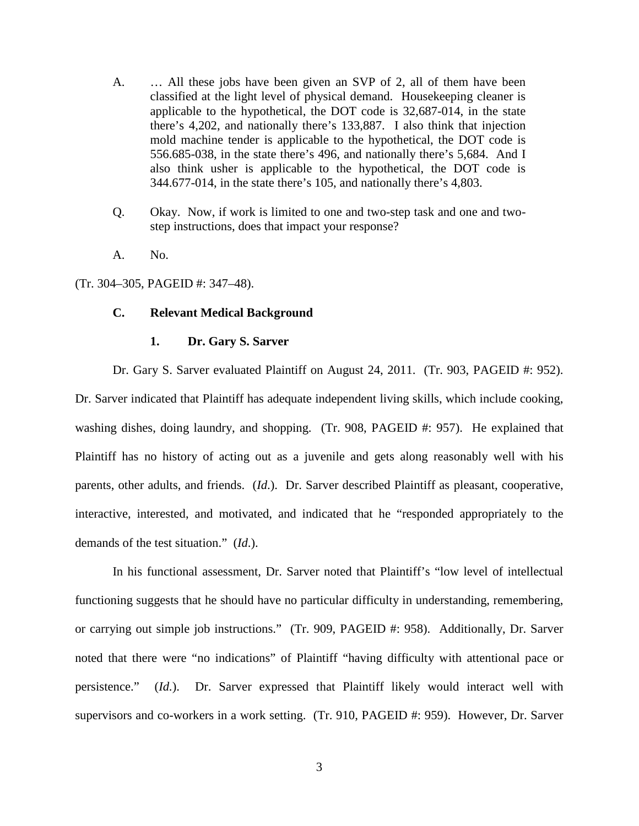- A. … All these jobs have been given an SVP of 2, all of them have been classified at the light level of physical demand. Housekeeping cleaner is applicable to the hypothetical, the DOT code is 32,687-014, in the state there's 4,202, and nationally there's 133,887. I also think that injection mold machine tender is applicable to the hypothetical, the DOT code is 556.685-038, in the state there's 496, and nationally there's 5,684. And I also think usher is applicable to the hypothetical, the DOT code is 344.677-014, in the state there's 105, and nationally there's 4,803.
- Q. Okay. Now, if work is limited to one and two-step task and one and twostep instructions, does that impact your response?
- A. No.

(Tr. 304–305, PAGEID #: 347–48).

### **C. Relevant Medical Background**

#### **1. Dr. Gary S. Sarver**

Dr. Gary S. Sarver evaluated Plaintiff on August 24, 2011. (Tr. 903, PAGEID #: 952). Dr. Sarver indicated that Plaintiff has adequate independent living skills, which include cooking, washing dishes, doing laundry, and shopping. (Tr. 908, PAGEID #: 957). He explained that Plaintiff has no history of acting out as a juvenile and gets along reasonably well with his parents, other adults, and friends. (*Id*.). Dr. Sarver described Plaintiff as pleasant, cooperative, interactive, interested, and motivated, and indicated that he "responded appropriately to the demands of the test situation." (*Id*.).

In his functional assessment, Dr. Sarver noted that Plaintiff's "low level of intellectual functioning suggests that he should have no particular difficulty in understanding, remembering, or carrying out simple job instructions." (Tr. 909, PAGEID #: 958). Additionally, Dr. Sarver noted that there were "no indications" of Plaintiff "having difficulty with attentional pace or persistence." (*Id.*). Dr. Sarver expressed that Plaintiff likely would interact well with supervisors and co-workers in a work setting. (Tr. 910, PAGEID #: 959). However, Dr. Sarver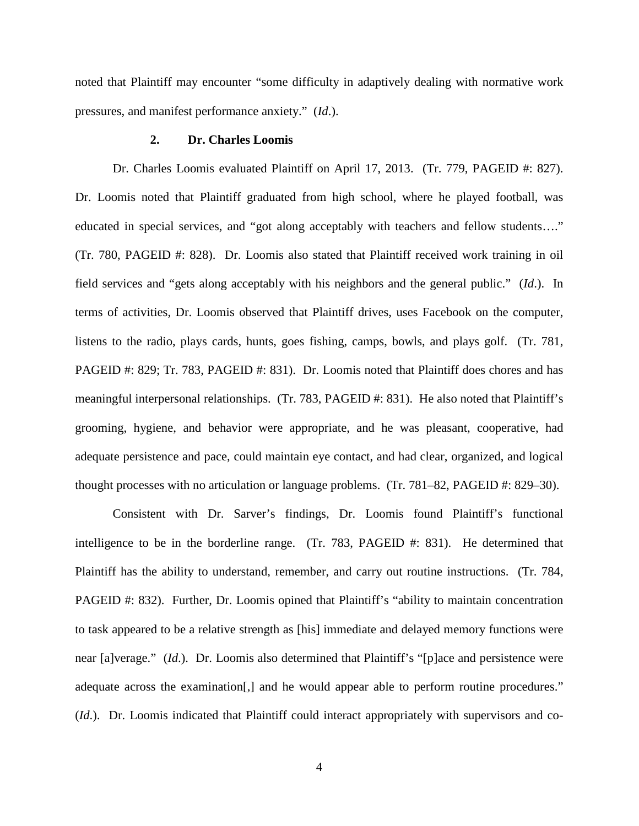noted that Plaintiff may encounter "some difficulty in adaptively dealing with normative work pressures, and manifest performance anxiety." (*Id*.).

## **2. Dr. Charles Loomis**

Dr. Charles Loomis evaluated Plaintiff on April 17, 2013. (Tr. 779, PAGEID #: 827). Dr. Loomis noted that Plaintiff graduated from high school, where he played football, was educated in special services, and "got along acceptably with teachers and fellow students…." (Tr. 780, PAGEID #: 828). Dr. Loomis also stated that Plaintiff received work training in oil field services and "gets along acceptably with his neighbors and the general public." (*Id*.). In terms of activities, Dr. Loomis observed that Plaintiff drives, uses Facebook on the computer, listens to the radio, plays cards, hunts, goes fishing, camps, bowls, and plays golf. (Tr. 781, PAGEID #: 829; Tr. 783, PAGEID #: 831). Dr. Loomis noted that Plaintiff does chores and has meaningful interpersonal relationships. (Tr. 783, PAGEID #: 831). He also noted that Plaintiff's grooming, hygiene, and behavior were appropriate, and he was pleasant, cooperative, had adequate persistence and pace, could maintain eye contact, and had clear, organized, and logical thought processes with no articulation or language problems. (Tr. 781–82, PAGEID #: 829–30).

Consistent with Dr. Sarver's findings, Dr. Loomis found Plaintiff's functional intelligence to be in the borderline range. (Tr. 783, PAGEID #: 831). He determined that Plaintiff has the ability to understand, remember, and carry out routine instructions. (Tr. 784, PAGEID #: 832). Further, Dr. Loomis opined that Plaintiff's "ability to maintain concentration to task appeared to be a relative strength as [his] immediate and delayed memory functions were near [a]verage." (*Id*.). Dr. Loomis also determined that Plaintiff's "[p]ace and persistence were adequate across the examination[,] and he would appear able to perform routine procedures." (*Id*.). Dr. Loomis indicated that Plaintiff could interact appropriately with supervisors and co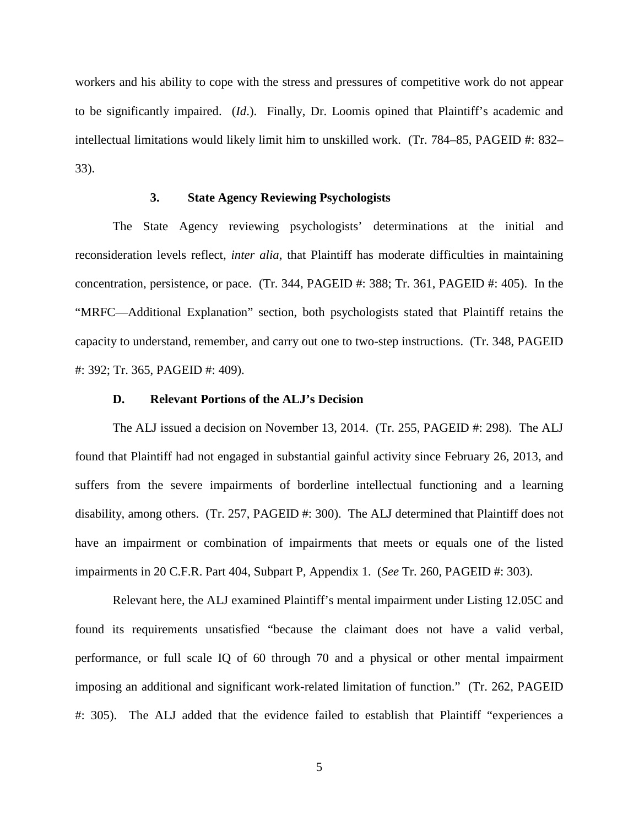workers and his ability to cope with the stress and pressures of competitive work do not appear to be significantly impaired. (*Id*.). Finally, Dr. Loomis opined that Plaintiff's academic and intellectual limitations would likely limit him to unskilled work. (Tr. 784–85, PAGEID #: 832– 33).

## **3. State Agency Reviewing Psychologists**

The State Agency reviewing psychologists' determinations at the initial and reconsideration levels reflect, *inter alia*, that Plaintiff has moderate difficulties in maintaining concentration, persistence, or pace. (Tr. 344, PAGEID #: 388; Tr. 361, PAGEID #: 405). In the "MRFC—Additional Explanation" section, both psychologists stated that Plaintiff retains the capacity to understand, remember, and carry out one to two-step instructions. (Tr. 348, PAGEID #: 392; Tr. 365, PAGEID #: 409).

#### **D. Relevant Portions of the ALJ's Decision**

The ALJ issued a decision on November 13, 2014. (Tr. 255, PAGEID #: 298). The ALJ found that Plaintiff had not engaged in substantial gainful activity since February 26, 2013, and suffers from the severe impairments of borderline intellectual functioning and a learning disability, among others. (Tr. 257, PAGEID #: 300). The ALJ determined that Plaintiff does not have an impairment or combination of impairments that meets or equals one of the listed impairments in 20 C.F.R. Part 404, Subpart P, Appendix 1. (*See* Tr. 260, PAGEID #: 303).

Relevant here, the ALJ examined Plaintiff's mental impairment under Listing 12.05C and found its requirements unsatisfied "because the claimant does not have a valid verbal, performance, or full scale IQ of 60 through 70 and a physical or other mental impairment imposing an additional and significant work-related limitation of function." (Tr. 262, PAGEID #: 305). The ALJ added that the evidence failed to establish that Plaintiff "experiences a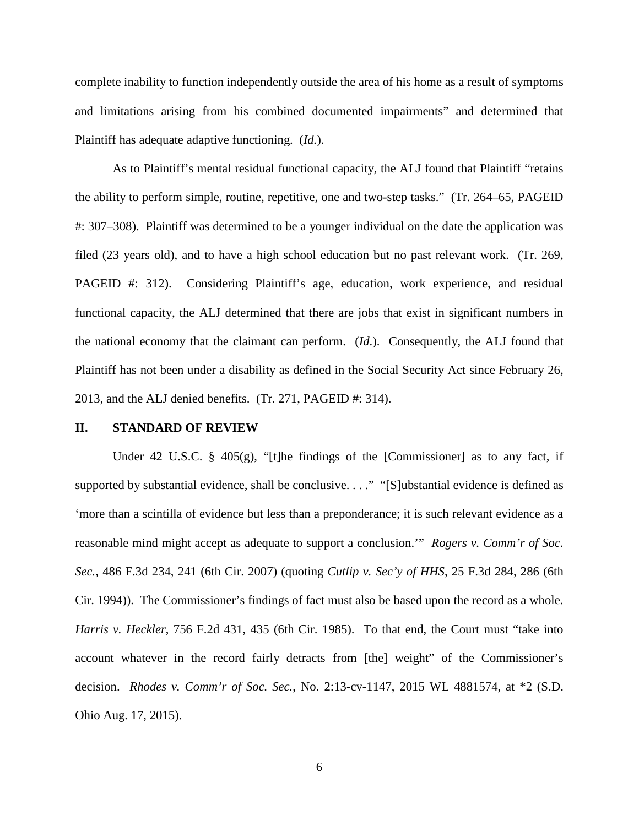complete inability to function independently outside the area of his home as a result of symptoms and limitations arising from his combined documented impairments" and determined that Plaintiff has adequate adaptive functioning. (*Id.*).

As to Plaintiff's mental residual functional capacity, the ALJ found that Plaintiff "retains the ability to perform simple, routine, repetitive, one and two-step tasks." (Tr. 264–65, PAGEID #: 307–308). Plaintiff was determined to be a younger individual on the date the application was filed (23 years old), and to have a high school education but no past relevant work. (Tr. 269, PAGEID #: 312). Considering Plaintiff's age, education, work experience, and residual functional capacity, the ALJ determined that there are jobs that exist in significant numbers in the national economy that the claimant can perform. (*Id*.). Consequently, the ALJ found that Plaintiff has not been under a disability as defined in the Social Security Act since February 26, 2013, and the ALJ denied benefits. (Tr. 271, PAGEID #: 314).

#### **II. STANDARD OF REVIEW**

Under 42 U.S.C. § 405(g), "[t]he findings of the [Commissioner] as to any fact, if supported by substantial evidence, shall be conclusive. . . ." "[S]ubstantial evidence is defined as 'more than a scintilla of evidence but less than a preponderance; it is such relevant evidence as a reasonable mind might accept as adequate to support a conclusion.'" *Rogers v. Comm'r of Soc. Sec.*, 486 F.3d 234, 241 (6th Cir. 2007) (quoting *Cutlip v. Sec'y of HHS*, 25 F.3d 284, 286 (6th Cir. 1994)). The Commissioner's findings of fact must also be based upon the record as a whole. *Harris v. Heckler*, 756 F.2d 431, 435 (6th Cir. 1985). To that end, the Court must "take into account whatever in the record fairly detracts from [the] weight" of the Commissioner's decision. *Rhodes v. Comm'r of Soc. Sec.*, No. 2:13-cv-1147, 2015 WL 4881574, at \*2 (S.D. Ohio Aug. 17, 2015).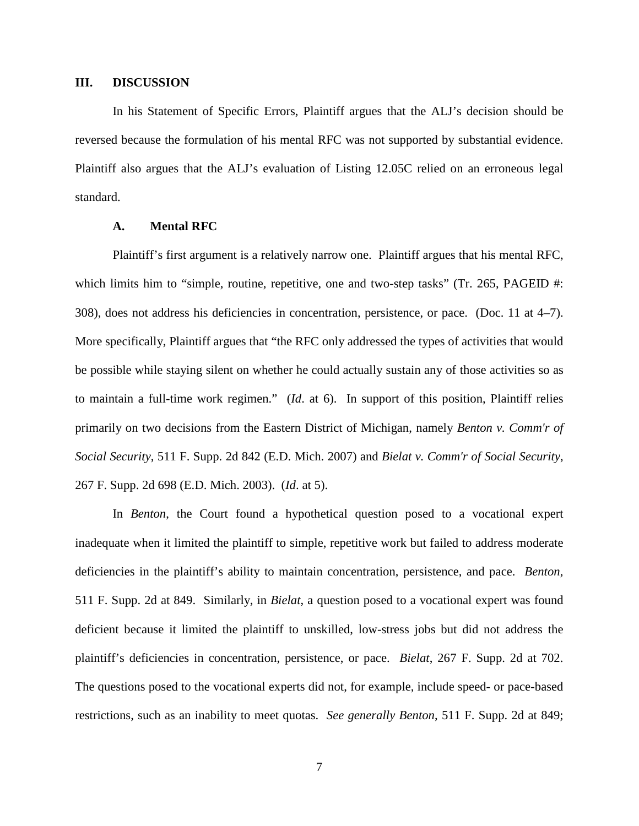### **III. DISCUSSION**

In his Statement of Specific Errors, Plaintiff argues that the ALJ's decision should be reversed because the formulation of his mental RFC was not supported by substantial evidence. Plaintiff also argues that the ALJ's evaluation of Listing 12.05C relied on an erroneous legal standard.

### **A. Mental RFC**

Plaintiff's first argument is a relatively narrow one. Plaintiff argues that his mental RFC, which limits him to "simple, routine, repetitive, one and two-step tasks" (Tr. 265, PAGEID #: 308), does not address his deficiencies in concentration, persistence, or pace. (Doc. 11 at 4–7). More specifically, Plaintiff argues that "the RFC only addressed the types of activities that would be possible while staying silent on whether he could actually sustain any of those activities so as to maintain a full-time work regimen." (*Id*. at 6). In support of this position, Plaintiff relies primarily on two decisions from the Eastern District of Michigan, namely *[Benton v. Comm'r of](https://1.next.westlaw.com/Link/Document/FullText?findType=Y&serNum=2013348958&pubNum=0004637&originatingDoc=I9ddef890e2c411e4a807ad48145ed9f1&refType=RP&originationContext=document&transitionType=DocumentItem&contextData=(sc.Keycite))  Social Security*[, 511 F. Supp. 2d 842 \(E.D. Mich. 2007\)](https://1.next.westlaw.com/Link/Document/FullText?findType=Y&serNum=2013348958&pubNum=0004637&originatingDoc=I9ddef890e2c411e4a807ad48145ed9f1&refType=RP&originationContext=document&transitionType=DocumentItem&contextData=(sc.Keycite)) and *[Bielat v. Comm'r of Social Security](https://1.next.westlaw.com/Link/Document/FullText?findType=Y&serNum=2003422088&pubNum=0004637&originatingDoc=I9ddef890e2c411e4a807ad48145ed9f1&refType=RP&originationContext=document&transitionType=DocumentItem&contextData=(sc.Keycite))*, [267 F. Supp. 2d 698 \(E.D. Mich. 2003\).](https://1.next.westlaw.com/Link/Document/FullText?findType=Y&serNum=2003422088&pubNum=0004637&originatingDoc=I9ddef890e2c411e4a807ad48145ed9f1&refType=RP&originationContext=document&transitionType=DocumentItem&contextData=(sc.Keycite)) (*Id*. at 5).

In *[Benton](https://1.next.westlaw.com/Link/Document/FullText?findType=Y&serNum=2013348958&pubNum=0004637&originatingDoc=I9ddef890e2c411e4a807ad48145ed9f1&refType=RP&originationContext=document&transitionType=DocumentItem&contextData=(sc.Keycite))*, the Court found a hypothetical question posed to a vocational expert inadequate when it limited the plaintiff to simple, repetitive work but failed to address moderate deficiencies in the plaintiff's ability to maintain concentration, persistence, and pace. *[Benton](https://1.next.westlaw.com/Link/Document/FullText?findType=Y&serNum=2013348958&pubNum=0004637&originatingDoc=I9ddef890e2c411e4a807ad48145ed9f1&refType=RP&originationContext=document&transitionType=DocumentItem&contextData=(sc.Keycite))*, [511 F. Supp. 2d at 849.](https://1.next.westlaw.com/Link/Document/FullText?findType=Y&serNum=2013348958&pubNum=0004637&originatingDoc=I9ddef890e2c411e4a807ad48145ed9f1&refType=RP&originationContext=document&transitionType=DocumentItem&contextData=(sc.Keycite)) Similarly, in *Bielat*, a question posed to a vocational expert was found deficient because it limited the plaintiff to unskilled, low-stress jobs but did not address the plaintiff's deficiencies in concentration, persistence, or pace. *Bielat*, 267 F. Supp. 2d at 702. The questions posed to the vocational experts did not, for example, include speed- or pace-based restrictions, such as an inability to meet quotas. *See generally Benton*, 511 F. Supp. 2d at 849;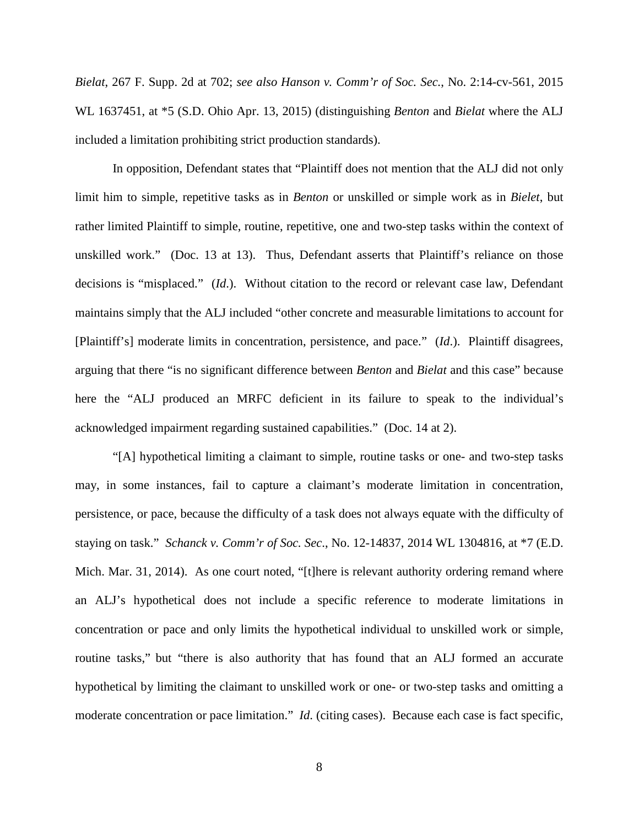*Bielat*, 267 F. Supp. 2d at 702; *see also Hanson v. Comm'r of Soc. Sec.*, No. 2:14-cv-561, 2015 WL 1637451, at \*5 (S.D. Ohio Apr. 13, 2015) (distinguishing *Benton* and *Bielat* where the ALJ included a limitation prohibiting strict production standards).

In opposition, Defendant states that "Plaintiff does not mention that the ALJ did not only limit him to simple, repetitive tasks as in *Benton* or unskilled or simple work as in *Bielet*, but rather limited Plaintiff to simple, routine, repetitive, one and two-step tasks within the context of unskilled work." (Doc. 13 at 13). Thus, Defendant asserts that Plaintiff's reliance on those decisions is "misplaced." (*Id*.). Without citation to the record or relevant case law, Defendant maintains simply that the ALJ included "other concrete and measurable limitations to account for [Plaintiff's] moderate limits in concentration, persistence, and pace." (*Id*.). Plaintiff disagrees, arguing that there "is no significant difference between *Benton* and *Bielat* and this case" because here the "ALJ produced an MRFC deficient in its failure to speak to the individual's acknowledged impairment regarding sustained capabilities." (Doc. 14 at 2).

"[A] hypothetical limiting a claimant to simple, routine tasks or one- and two-step tasks may, in some instances, fail to capture a claimant's moderate limitation in concentration, persistence, or pace, because the difficulty of a task does not always equate with the difficulty of staying on task." *Schanck v. Comm'r of Soc. Sec*., No. 12-14837, 2014 WL 1304816, at \*7 (E.D. Mich. Mar. 31, 2014). As one court noted, "[t]here is relevant authority ordering remand where an ALJ's hypothetical does not include a specific reference to moderate limitations in concentration or pace and only limits the hypothetical individual to unskilled work or simple, routine tasks," but "there is also authority that has found that an ALJ formed an accurate hypothetical by limiting the claimant to unskilled work or one- or two-step tasks and omitting a moderate concentration or pace limitation." *Id*. (citing cases). Because each case is fact specific,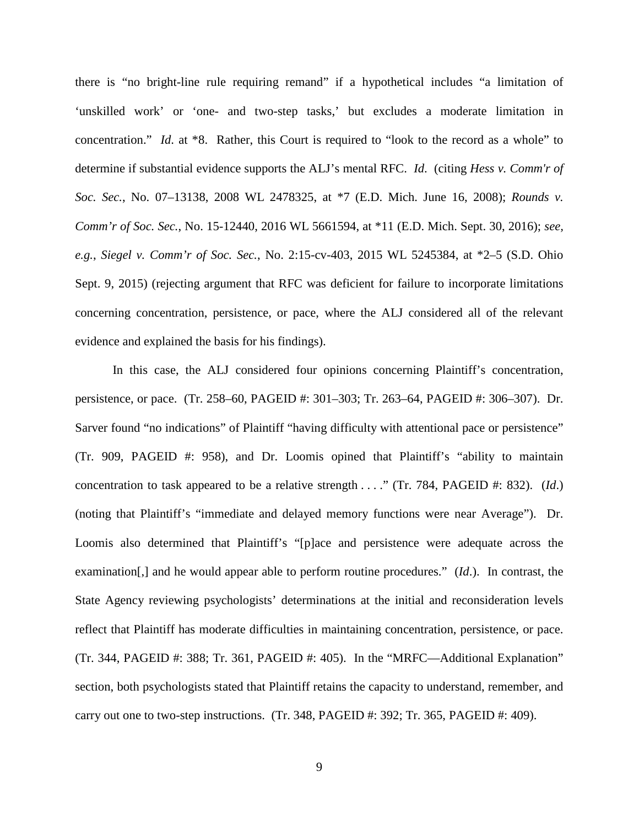there is "no bright-line rule requiring remand" if a hypothetical includes "a limitation of 'unskilled work' or 'one- and two-step tasks,' but excludes a moderate limitation in concentration." *Id*. at \*8. Rather, this Court is required to "look to the record as a whole" to determine if substantial evidence supports the ALJ's mental RFC. *Id*. (citing *[Hess v. Comm'r of](https://1.next.westlaw.com/Link/Document/FullText?findType=Y&serNum=2016359341&pubNum=0000999&originatingDoc=If589ca22ba8d11e39ac8bab74931929c&refType=RP&originationContext=document&transitionType=DocumentItem&contextData=(sc.UserEnteredCitation))  Soc. Sec.*[, No. 07–13138, 2008 WL 2478325, at \\*7 \(E.D. Mich. June 16, 2008\);](https://1.next.westlaw.com/Link/Document/FullText?findType=Y&serNum=2016359341&pubNum=0000999&originatingDoc=If589ca22ba8d11e39ac8bab74931929c&refType=RP&originationContext=document&transitionType=DocumentItem&contextData=(sc.UserEnteredCitation)) *Rounds v. Comm'r of Soc. Sec.*, No. 15-12440, 2016 WL 5661594, at \*11 (E.D. Mich. Sept. 30, 2016); *see, e.g.*, *Siegel v. Comm'r of Soc. Sec.*, No. 2:15-cv-403, 2015 WL 5245384, at \*2–5 (S.D. Ohio Sept. 9, 2015) (rejecting argument that RFC was deficient for failure to incorporate limitations concerning concentration, persistence, or pace, where the ALJ considered all of the relevant evidence and explained the basis for his findings).

In this case, the ALJ considered four opinions concerning Plaintiff's concentration, persistence, or pace. (Tr. 258–60, PAGEID #: 301–303; Tr. 263–64, PAGEID #: 306–307). Dr. Sarver found "no indications" of Plaintiff "having difficulty with attentional pace or persistence" (Tr. 909, PAGEID #: 958), and Dr. Loomis opined that Plaintiff's "ability to maintain concentration to task appeared to be a relative strength . . . ." (Tr. 784, PAGEID #: 832). (*Id*.) (noting that Plaintiff's "immediate and delayed memory functions were near Average"). Dr. Loomis also determined that Plaintiff's "[p]ace and persistence were adequate across the examination[,] and he would appear able to perform routine procedures." (*Id*.). In contrast, the State Agency reviewing psychologists' determinations at the initial and reconsideration levels reflect that Plaintiff has moderate difficulties in maintaining concentration, persistence, or pace. (Tr. 344, PAGEID #: 388; Tr. 361, PAGEID #: 405). In the "MRFC—Additional Explanation" section, both psychologists stated that Plaintiff retains the capacity to understand, remember, and carry out one to two-step instructions. (Tr. 348, PAGEID #: 392; Tr. 365, PAGEID #: 409).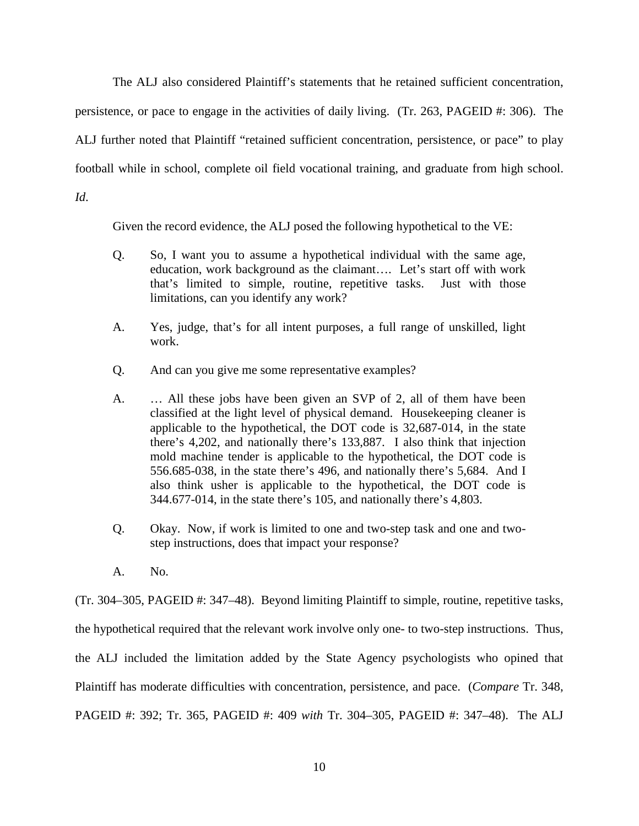The ALJ also considered Plaintiff's statements that he retained sufficient concentration, persistence, or pace to engage in the activities of daily living. (Tr. 263, PAGEID #: 306). The ALJ further noted that Plaintiff "retained sufficient concentration, persistence, or pace" to play football while in school, complete oil field vocational training, and graduate from high school. *Id*.

Given the record evidence, the ALJ posed the following hypothetical to the VE:

- Q. So, I want you to assume a hypothetical individual with the same age, education, work background as the claimant…. Let's start off with work that's limited to simple, routine, repetitive tasks. Just with those limitations, can you identify any work?
- A. Yes, judge, that's for all intent purposes, a full range of unskilled, light work.
- Q. And can you give me some representative examples?
- A. … All these jobs have been given an SVP of 2, all of them have been classified at the light level of physical demand. Housekeeping cleaner is applicable to the hypothetical, the DOT code is 32,687-014, in the state there's 4,202, and nationally there's 133,887. I also think that injection mold machine tender is applicable to the hypothetical, the DOT code is 556.685-038, in the state there's 496, and nationally there's 5,684. And I also think usher is applicable to the hypothetical, the DOT code is 344.677-014, in the state there's 105, and nationally there's 4,803.
- Q. Okay. Now, if work is limited to one and two-step task and one and twostep instructions, does that impact your response?
- A. No.

(Tr. 304–305, PAGEID #: 347–48). Beyond limiting Plaintiff to simple, routine, repetitive tasks, the hypothetical required that the relevant work involve only one- to two-step instructions. Thus, the ALJ included the limitation added by the State Agency psychologists who opined that Plaintiff has moderate difficulties with concentration, persistence, and pace. (*Compare* Tr. 348, PAGEID #: 392; Tr. 365, PAGEID #: 409 *with* Tr. 304–305, PAGEID #: 347–48). The ALJ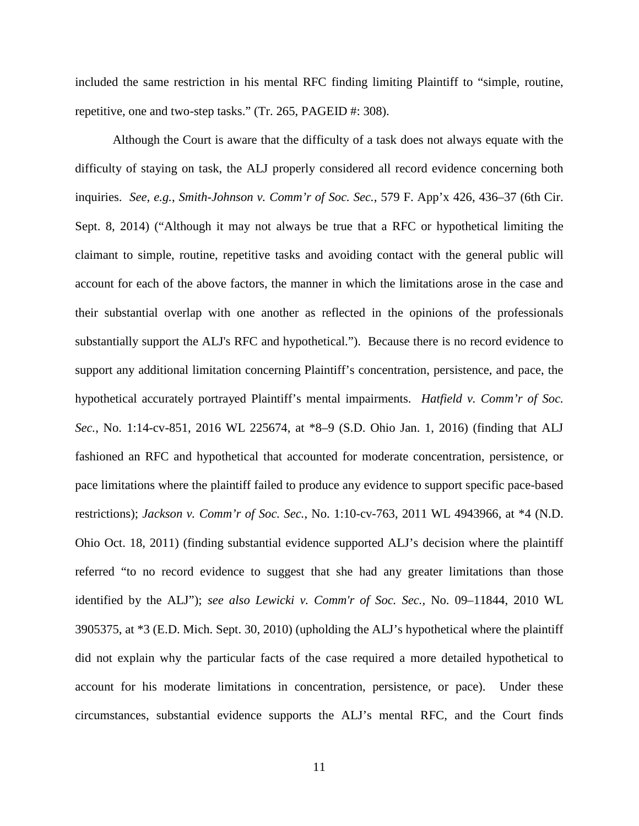included the same restriction in his mental RFC finding limiting Plaintiff to "simple, routine, repetitive, one and two-step tasks." (Tr. 265, PAGEID #: 308).

Although the Court is aware that the difficulty of a task does not always equate with the difficulty of staying on task, the ALJ properly considered all record evidence concerning both inquiries. *See, e.g.*, *Smith-Johnson v. Comm'r of Soc. Sec.*, 579 F. App'x 426, 436–37 (6th Cir. Sept. 8, 2014) ("Although it may not always be true that a RFC or hypothetical limiting the claimant to simple, routine, repetitive tasks and avoiding contact with the general public will account for each of the above factors, the manner in which the limitations arose in the case and their substantial overlap with one another as reflected in the opinions of the professionals substantially support the ALJ's RFC and hypothetical."). Because there is no record evidence to support any additional limitation concerning Plaintiff's concentration, persistence, and pace, the hypothetical accurately portrayed Plaintiff's [mental impairments.](https://1.next.westlaw.com/Link/Document/FullText?entityType=disease&entityId=Ic94ca545475411db9765f9243f53508a&originationContext=document&transitionType=DocumentItem&contextData=(sc.Default)) *Hatfield v. Comm'r of Soc. Sec.*, No. 1:14-cv-851, 2016 WL 225674, at \*8–9 (S.D. Ohio Jan. 1, 2016) (finding that ALJ fashioned an RFC and hypothetical that accounted for moderate concentration, persistence, or pace limitations where the plaintiff failed to produce any evidence to support specific pace-based restrictions); *Jackson v. Comm'r of Soc. Sec.*, No. 1:10-cv-763, 2011 WL 4943966, at \*4 (N.D. Ohio Oct. 18, 2011) (finding substantial evidence supported ALJ's decision where the plaintiff referred "to no record evidence to suggest that she had any greater limitations than those identified by the ALJ"); *see also [Lewicki v. Comm'r of Soc. Sec.,](https://1.next.westlaw.com/Link/Document/FullText?findType=Y&serNum=2023245468&pubNum=0000999&originatingDoc=I16493d88f9cf11e0bc27967e57e99458&refType=RP&originationContext=document&transitionType=DocumentItem&contextData=(sc.UserEnteredCitation))* No. 09–11844, 2010 WL [3905375, at \\*3 \(E.D. Mich. Sept. 30, 2010\)](https://1.next.westlaw.com/Link/Document/FullText?findType=Y&serNum=2023245468&pubNum=0000999&originatingDoc=I16493d88f9cf11e0bc27967e57e99458&refType=RP&originationContext=document&transitionType=DocumentItem&contextData=(sc.UserEnteredCitation)) (upholding the ALJ's hypothetical where the plaintiff did not explain why the particular facts of the case required a more detailed hypothetical to account for his moderate limitations in concentration, persistence, or pace). Under these circumstances, substantial evidence supports the ALJ's mental RFC, and the Court finds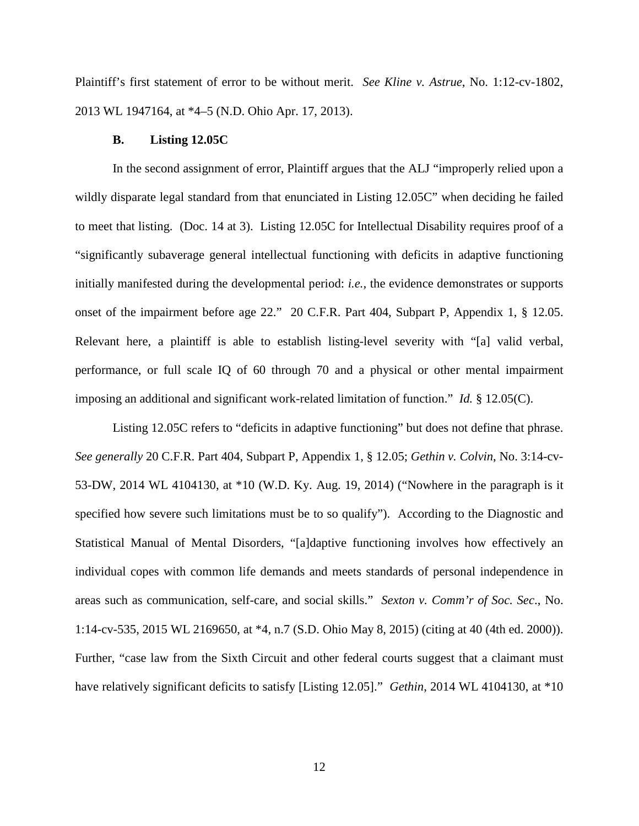Plaintiff's first statement of error to be without merit. *See Kline v. Astrue*, No. 1:12-cv-1802, 2013 WL 1947164, at \*4–5 (N.D. Ohio Apr. 17, 2013).

#### **B. Listing 12.05C**

In the second assignment of error, Plaintiff argues that the ALJ "improperly relied upon a wildly disparate legal standard from that enunciated in Listing 12.05C" when deciding he failed to meet that listing. (Doc. 14 at 3). Listing 12.05C for Intellectual Disability requires proof of a "significantly subaverage general intellectual functioning with deficits in adaptive functioning initially manifested during the developmental period: *i.e.,* the evidence demonstrates or supports onset of the impairment before age 22." 20 C.F.R. Part 404, Subpart P, Appendix 1, § 12.05. Relevant here, a plaintiff is able to establish listing-level severity with "[a] valid verbal, performance, or full scale IQ of 60 through 70 and a physical or other mental impairment imposing an additional and significant work-related limitation of function." *Id.* § 12.05(C).

Listing 12.05C refers to "deficits in adaptive functioning" but does not define that phrase. *See generally* 20 C.F.R. Part 404, Subpart P, Appendix 1, § 12.05; *Gethin v. Colvin*, No. 3:14-cv-53-DW, 2014 WL 4104130, at \*10 (W.D. Ky. Aug. 19, 2014) ("Nowhere in the paragraph is it specified how severe such limitations must be to so qualify"). According to the Diagnostic and Statistical Manual of Mental Disorders, "[a]daptive functioning involves how effectively an individual copes with common life demands and meets standards of personal independence in areas such as communication, self-care, and social skills." *Sexton v. Comm'r of Soc. Sec*., No. 1:14-cv-535, 2015 WL 2169650, at \*4, n.7 (S.D. Ohio May 8, 2015) (citing at 40 (4th ed. 2000)). Further, "case law from the Sixth Circuit and other federal courts suggest that a claimant must have relatively significant deficits to satisfy [Listing 12.05]." *Gethin*, 2014 WL 4104130, at \*10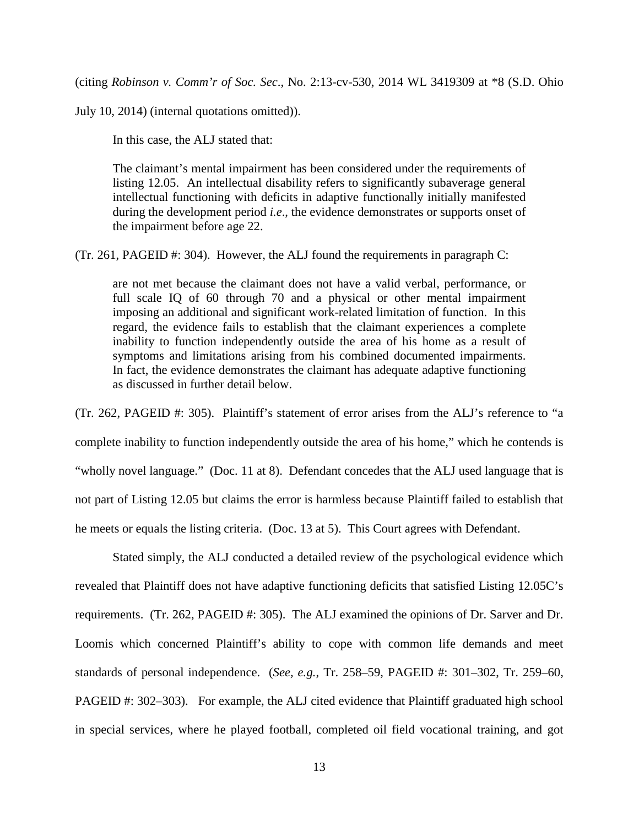(citing *Robinson v. Comm'r of Soc. Sec*., No. 2:13-cv-530, 2014 WL 3419309 at \*8 (S.D. Ohio

July 10, 2014) (internal quotations omitted)).

In this case, the ALJ stated that:

The claimant's mental impairment has been considered under the requirements of listing 12.05. An intellectual disability refers to significantly subaverage general intellectual functioning with deficits in adaptive functionally initially manifested during the development period *i.e*., the evidence demonstrates or supports onset of the impairment before age 22.

(Tr. 261, PAGEID #: 304). However, the ALJ found the requirements in paragraph C:

are not met because the claimant does not have a valid verbal, performance, or full scale IQ of 60 through 70 and a physical or other mental impairment imposing an additional and significant work-related limitation of function. In this regard, the evidence fails to establish that the claimant experiences a complete inability to function independently outside the area of his home as a result of symptoms and limitations arising from his combined documented impairments. In fact, the evidence demonstrates the claimant has adequate adaptive functioning as discussed in further detail below.

(Tr. 262, PAGEID #: 305). Plaintiff's statement of error arises from the ALJ's reference to "a complete inability to function independently outside the area of his home," which he contends is "wholly novel language." (Doc. 11 at 8). Defendant concedes that the ALJ used language that is not part of Listing 12.05 but claims the error is harmless because Plaintiff failed to establish that he meets or equals the listing criteria. (Doc. 13 at 5). This Court agrees with Defendant.

Stated simply, the ALJ conducted a detailed review of the psychological evidence which revealed that Plaintiff does not have adaptive functioning deficits that satisfied Listing 12.05C's requirements. (Tr. 262, PAGEID #: 305). The ALJ examined the opinions of Dr. Sarver and Dr. Loomis which concerned Plaintiff's ability to cope with common life demands and meet standards of personal independence. (*See, e.g.*, Tr. 258–59, PAGEID #: 301–302, Tr. 259–60, PAGEID #: 302–303). For example, the ALJ cited evidence that Plaintiff graduated high school in special services, where he played football, completed oil field vocational training, and got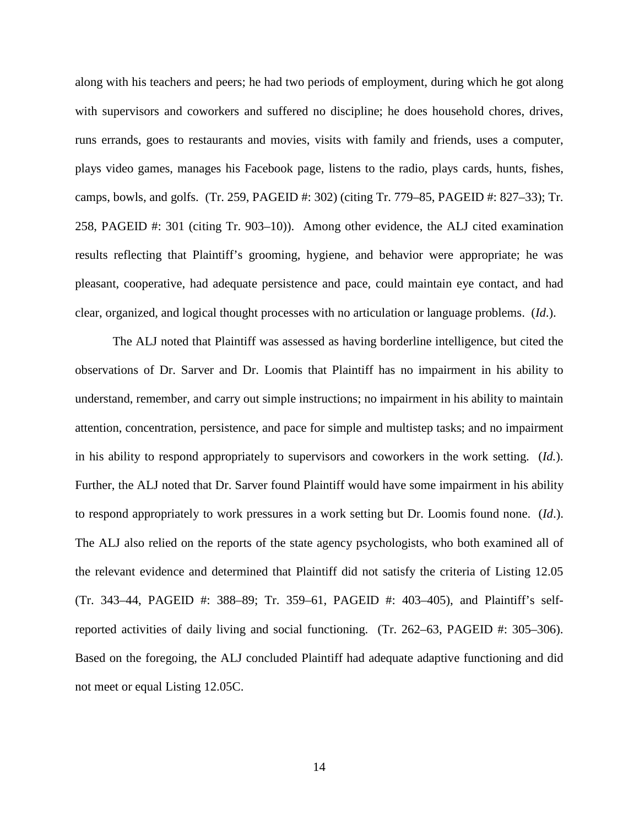along with his teachers and peers; he had two periods of employment, during which he got along with supervisors and coworkers and suffered no discipline; he does household chores, drives, runs errands, goes to restaurants and movies, visits with family and friends, uses a computer, plays video games, manages his Facebook page, listens to the radio, plays cards, hunts, fishes, camps, bowls, and golfs. (Tr. 259, PAGEID #: 302) (citing Tr. 779–85, PAGEID #: 827–33); Tr. 258, PAGEID #: 301 (citing Tr. 903–10)). Among other evidence, the ALJ cited examination results reflecting that Plaintiff's grooming, hygiene, and behavior were appropriate; he was pleasant, cooperative, had adequate persistence and pace, could maintain eye contact, and had clear, organized, and logical thought processes with no articulation or language problems. (*Id*.).

The ALJ noted that Plaintiff was assessed as having borderline intelligence, but cited the observations of Dr. Sarver and Dr. Loomis that Plaintiff has no impairment in his ability to understand, remember, and carry out simple instructions; no impairment in his ability to maintain attention, concentration, persistence, and pace for simple and multistep tasks; and no impairment in his ability to respond appropriately to supervisors and coworkers in the work setting. (*Id.*). Further, the ALJ noted that Dr. Sarver found Plaintiff would have some impairment in his ability to respond appropriately to work pressures in a work setting but Dr. Loomis found none. (*Id*.). The ALJ also relied on the reports of the state agency psychologists, who both examined all of the relevant evidence and determined that Plaintiff did not satisfy the criteria of Listing 12.05 (Tr. 343–44, PAGEID #: 388–89; Tr. 359–61, PAGEID #: 403–405), and Plaintiff's selfreported activities of daily living and social functioning. (Tr. 262–63, PAGEID #: 305–306). Based on the foregoing, the ALJ concluded Plaintiff had adequate adaptive functioning and did not meet or equal Listing 12.05C.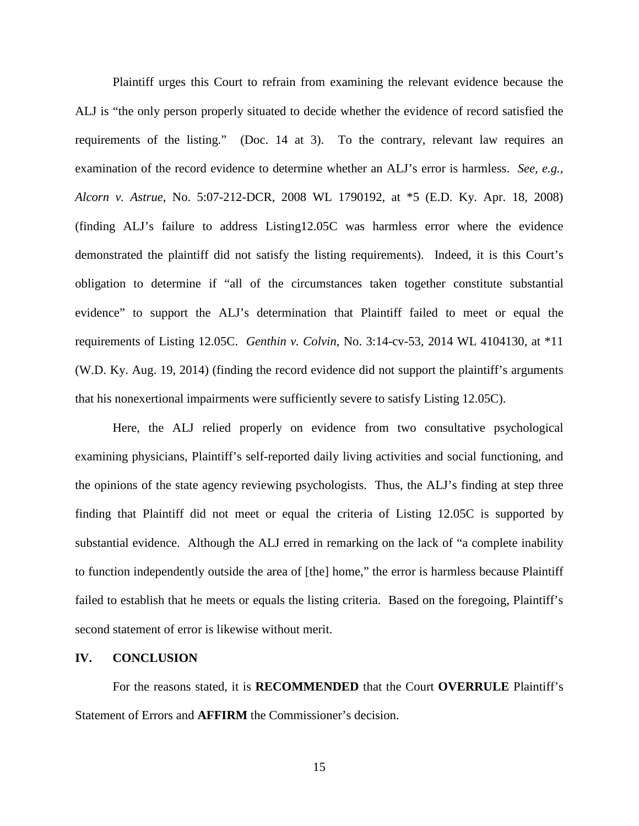Plaintiff urges this Court to refrain from examining the relevant evidence because the ALJ is "the only person properly situated to decide whether the evidence of record satisfied the requirements of the listing." (Doc. 14 at 3). To the contrary, relevant law requires an examination of the record evidence to determine whether an ALJ's error is harmless. *See, e.g.*, *Alcorn v. Astrue*, No. 5:07-212-DCR, 2008 WL 1790192, at \*5 (E.D. Ky. Apr. 18, 2008) (finding ALJ's failure to address Listing12.05C was harmless error where the evidence demonstrated the plaintiff did not satisfy the listing requirements). Indeed, it is this Court's obligation to determine if "all of the circumstances taken together constitute substantial evidence" to support the ALJ's determination that Plaintiff failed to meet or equal the requirements of Listing 12.05C. *Genthin v. Colvin*, No. 3:14-cv-53, 2014 WL 4104130, at \*11 (W.D. Ky. Aug. 19, 2014) (finding the record evidence did not support the plaintiff's arguments that his nonexertional impairments were sufficiently severe to satisfy Listing 12.05C).

Here, the ALJ relied properly on evidence from two consultative psychological examining physicians, Plaintiff's self-reported daily living activities and social functioning, and the opinions of the state agency reviewing psychologists. Thus, the ALJ's finding at step three finding that Plaintiff did not meet or equal the criteria of Listing 12.05C is supported by substantial evidence. Although the ALJ erred in remarking on the lack of "a complete inability to function independently outside the area of [the] home," the error is harmless because Plaintiff failed to establish that he meets or equals the listing criteria. Based on the foregoing, Plaintiff's second statement of error is likewise without merit.

#### **IV. CONCLUSION**

For the reasons stated, it is **RECOMMENDED** that the Court **OVERRULE** Plaintiff's Statement of Errors and **AFFIRM** the Commissioner's decision.